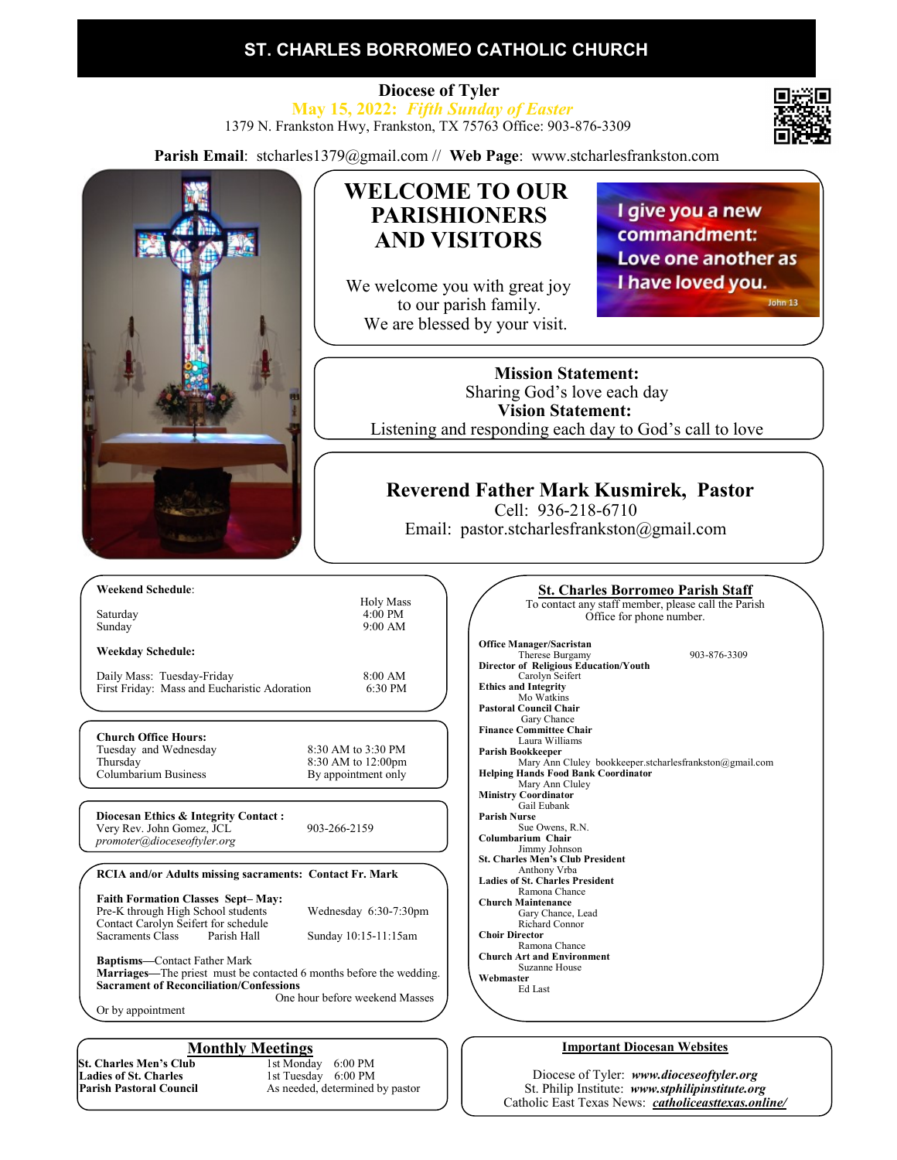## **ST. CHARLES BORROMEO CATHOLIC CHURCH**

 **Diocese of Tyler May 15, 2022:** *Fifth Sunday of Easter* 1379 N. Frankston Hwy, Frankston, TX 75763 Office: 903-876-3309

**Parish Email**: stcharles1379@gmail.com // **Web Page**: www.stcharlesfrankston.com



Or by appointment

**St. Charles Men's Club**<br>Ladies of St. Charles **Ladies of St. Charles 1st Tuesday 6:00 PM**<br> **Parish Pastoral Council** As needed, determined

**Monthly Meetings**<br>ab 1st Monday 6:00 PM As needed, determined by pastor

#### **Important Diocesan Websites**

Diocese of Tyler: *www.dioceseoftyler.org* St. Philip Institute: *www.stphilipinstitute.org* Catholic East Texas News: *catholiceasttexas.online/*

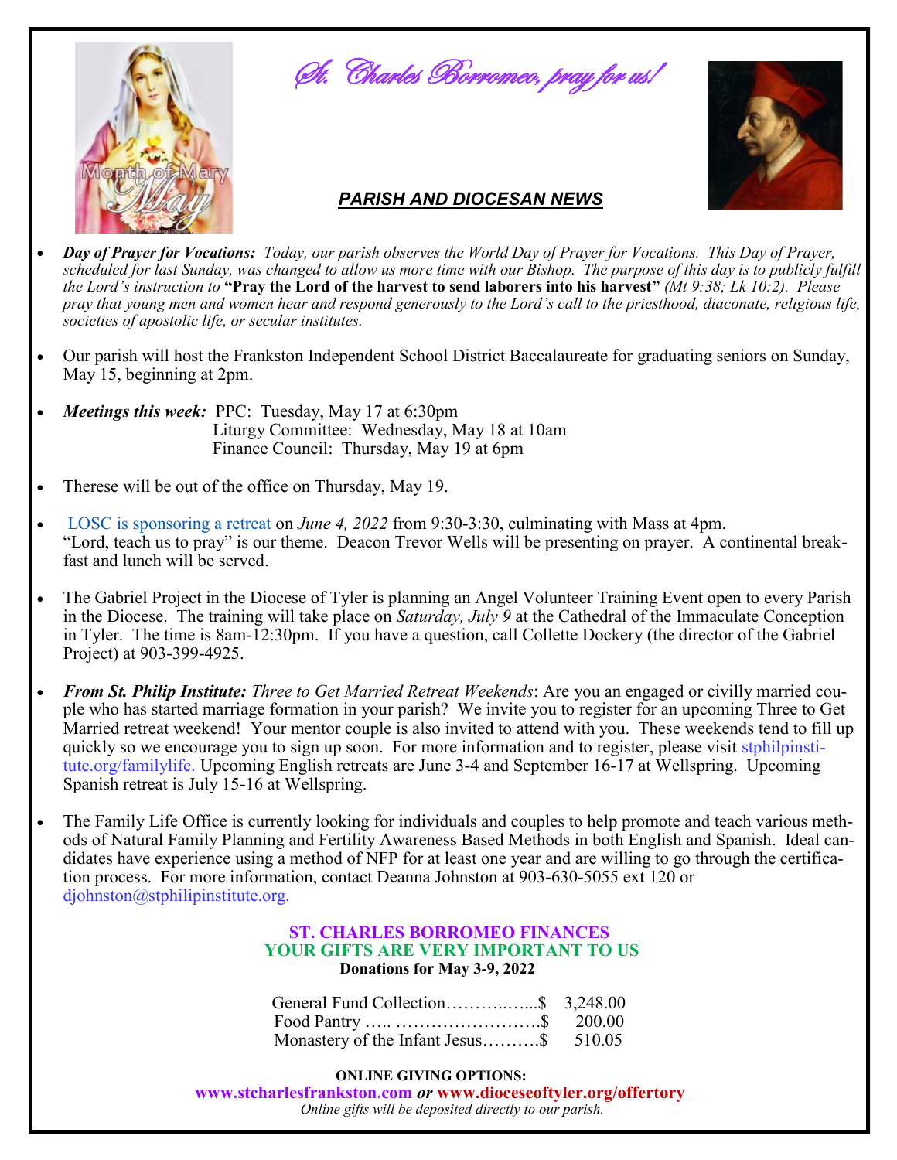





### *PARISH AND DIOCESAN NEWS*

- *Day of Prayer for Vocations: Today, our parish observes the World Day of Prayer for Vocations. This Day of Prayer, scheduled for last Sunday, was changed to allow us more time with our Bishop. The purpose of this day is to publicly fulfill the Lord's instruction to* **"Pray the Lord of the harvest to send laborers into his harvest"** *(Mt 9:38; Lk 10:2). Please pray that young men and women hear and respond generously to the Lord's call to the priesthood, diaconate, religious life, societies of apostolic life, or secular institutes.*
- Our parish will host the Frankston Independent School District Baccalaureate for graduating seniors on Sunday, May 15, beginning at 2pm.
- *Meetings this week:* PPC: Tuesday, May 17 at 6:30pm Liturgy Committee: Wednesday, May 18 at 10am Finance Council: Thursday, May 19 at 6pm
- Therese will be out of the office on Thursday, May 19.
- LOSC is sponsoring a retreat on *June 4, 2022* from 9:30-3:30, culminating with Mass at 4pm. "Lord, teach us to pray" is our theme. Deacon Trevor Wells will be presenting on prayer. A continental break fast and lunch will be served.
- The Gabriel Project in the Diocese of Tyler is planning an Angel Volunteer Training Event open to every Parish in the Diocese. The training will take place on *Saturday, July 9* at the Cathedral of the Immaculate Conception in Tyler. The time is 8am-12:30pm. If you have a question, call Collette Dockery (the director of the Gabriel Project) at 903-399-4925.
- *From St. Philip Institute: Three to Get Married Retreat Weekends*: Are you an engaged or civilly married couple who has started marriage formation in your parish? We invite you to register for an upcoming Three to Get Married retreat weekend! Your mentor couple is also invited to attend with you. These weekends tend to fill up quickly so we encourage you to sign up soon. For more information and to register, please visit stphilpinstitute.org/familylife. Upcoming English retreats are June 3-4 and September 16-17 at Wellspring. Upcoming Spanish retreat is July 15-16 at Wellspring.
- The Family Life Office is currently looking for individuals and couples to help promote and teach various methods of Natural Family Planning and Fertility Awareness Based Methods in both English and Spanish. Ideal candidates have experience using a method of NFP for at least one year and are willing to go through the certification process. For more information, contact Deanna Johnston at 903-630-5055 ext 120 or djohnston@stphilipinstitute.org.

#### **ST. CHARLES BORROMEO FINANCES YOUR GIFTS ARE VERY IMPORTANT TO US Donations for May 3-9, 2022**

| General Fund Collection\$ 3,248.00     |  |
|----------------------------------------|--|
|                                        |  |
| Monastery of the Infant Jesus\$ 510.05 |  |

**ONLINE GIVING OPTIONS:** 

 **www.stcharlesfrankston.com** *or* **www.dioceseoftyler.org/offertory** *Online gifts will be deposited directly to our parish.*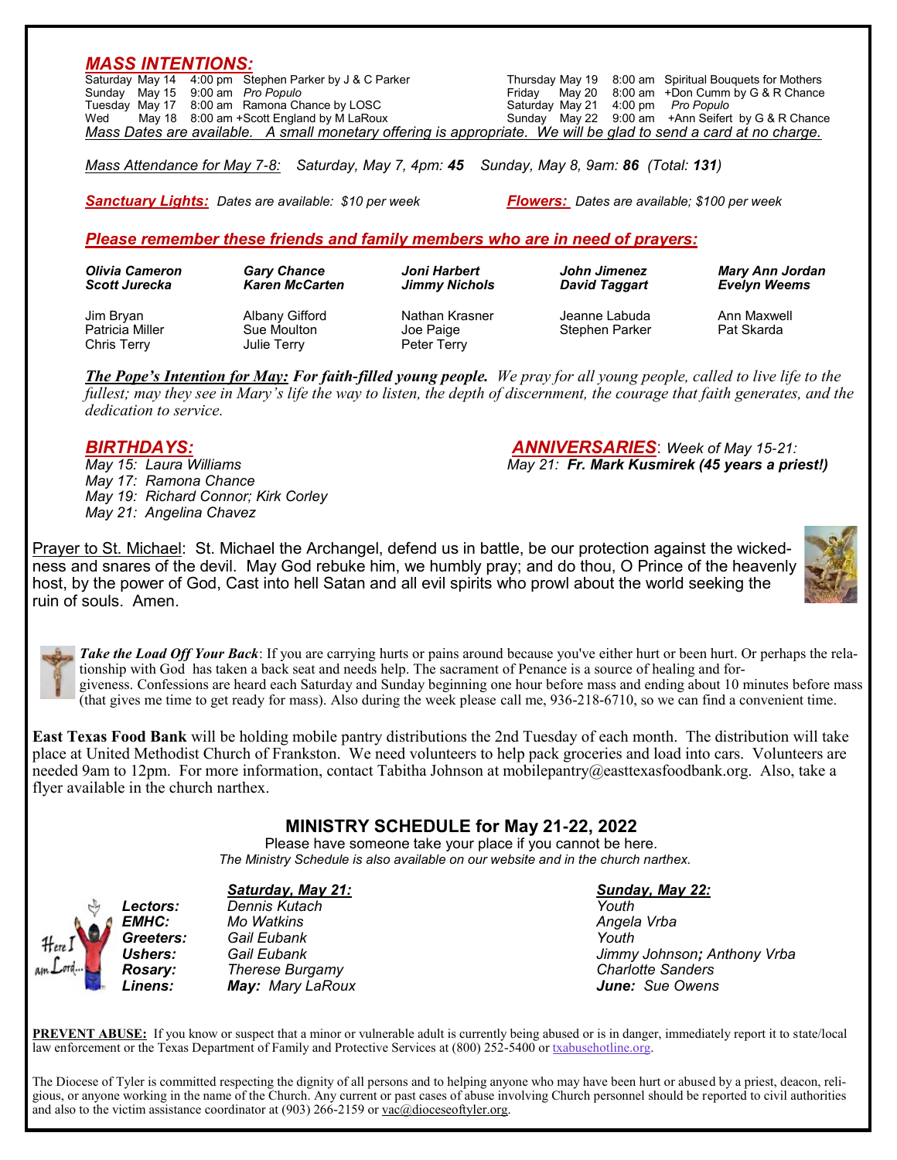| <b>MASS INTENTIONS:</b> |                                                                              |                      |                            |                                                     |
|-------------------------|------------------------------------------------------------------------------|----------------------|----------------------------|-----------------------------------------------------|
|                         | Saturday May 14 4:00 pm Stephen Parker by J & C Parker                       |                      | Thursday May 19            | 8:00 am Spiritual Bouquets for Mothers              |
| May 15<br>Sundav        | 9:00 am Pro Populo                                                           |                      | Friday<br>May 20           | 8:00 am +Don Cumm by G & R Chance                   |
|                         | Tuesday May 17 8:00 am Ramona Chance by LOSC                                 |                      | Saturday May 21<br>4:00 pm | Pro Populo                                          |
| Wed                     | May 18 8:00 am +Scott England by M LaRoux                                    |                      | Sunday May 22<br>9:00 am   | +Ann Seifert by G & R Chance                        |
|                         | Mass Dates are available. A small monetary offering is appropriate.          |                      |                            | We will be glad to send a card at no charge.        |
|                         |                                                                              |                      |                            |                                                     |
|                         | <b>Sanctuary Lights:</b> Dates are available: \$10 per week                  |                      |                            | <b>Flowers:</b> Dates are available: \$100 per week |
|                         |                                                                              |                      |                            |                                                     |
|                         | Please remember these friends and family members who are in need of prayers: |                      |                            |                                                     |
|                         |                                                                              |                      |                            |                                                     |
| <b>Olivia Cameron</b>   | <b>Gary Chance</b>                                                           | Joni Harbert         | John Jimenez               | <b>Mary Ann Jordan</b>                              |
| <b>Scott Jurecka</b>    | <b>Karen McCarten</b>                                                        | <b>Jimmy Nichols</b> | <b>David Taggart</b>       | <b>Evelyn Weems</b>                                 |
|                         |                                                                              |                      |                            |                                                     |

*The Pope's Intention for May: For faith-filled young people. We pray for all young people, called to live life to the fullest; may they see in Mary's life the way to listen, the depth of discernment, the courage that faith generates, and the dedication to service.*

Patricia Miller Sue Moulton Joe Paige Stephen Parker Pat Skarda

*May 17: Ramona Chance May 19: Richard Connor; Kirk Corley May 21: Angelina Chavez*

Chris Terry **Chris Terry** Julie Terry **Peter Terry** 

*BIRTHDAYS: ANNIVERSARIES*: *Week of May 15-21: May 21: Fr. Mark Kusmirek (45 years a priest!)* 

Prayer to St. Michael: St. Michael the Archangel, defend us in battle, be our protection against the wickedness and snares of the devil. May God rebuke him, we humbly pray; and do thou, O Prince of the heavenly host, by the power of God, Cast into hell Satan and all evil spirits who prowl about the world seeking the ruin of souls. Amen.



*Take the Load Off Your Back*: If you are carrying hurts or pains around because you've either hurt or been hurt. Or perhaps the relationship with God has taken a back seat and needs help. The sacrament of Penance is a source of healing and forgiveness. Confessions are heard each Saturday and Sunday beginning one hour before mass and ending about 10 minutes before mass (that gives me time to get ready for mass). Also during the week please call me, 936-218-6710, so we can find a convenient time.

**East Texas Food Bank** will be holding mobile pantry distributions the 2nd Tuesday of each month. The distribution will take place at United Methodist Church of Frankston. We need volunteers to help pack groceries and load into cars. Volunteers are needed 9am to 12pm. For more information, contact Tabitha Johnson at mobilepantry@easttexasfoodbank.org. Also, take a flyer available in the church narthex.

**MINISTRY SCHEDULE for May 21-22, 2022**

Please have someone take your place if you cannot be here.  *The Ministry Schedule is also available on our website and in the church narthex.*

### *Saturday, May 21: Sunday, May 22: Lectors: Dennis Kutach Youth*

*EMHC: Mo Watkins Angela Vrba Greeters: Gail Eubank Youth*

*Ushers: Gail Eubank Jimmy Johnson; Anthony Vrba Rosary: Therese Burgamy Charlotte Sanders Linens: May: Mary LaRoux June: Sue Owens*

**PREVENT ABUSE:** If you know or suspect that a minor or vulnerable adult is currently being abused or is in danger, immediately report it to state/local law enforcement or the Texas Department of Family and Protective Services at (800) 252-5400 or [txabusehotline.org.](http://txabusehotline.org/)

The Diocese of Tyler is committed respecting the dignity of all persons and to helping anyone who may have been hurt or abused by a priest, deacon, religious, or anyone working in the name of the Church. Any current or past cases of abuse involving Church personnel should be reported to civil authorities and also to the victim assistance coordinator at (903) 266-2159 or [vac@dioceseoftyler.org.](mailto:vac@dioceseoftyler.org)